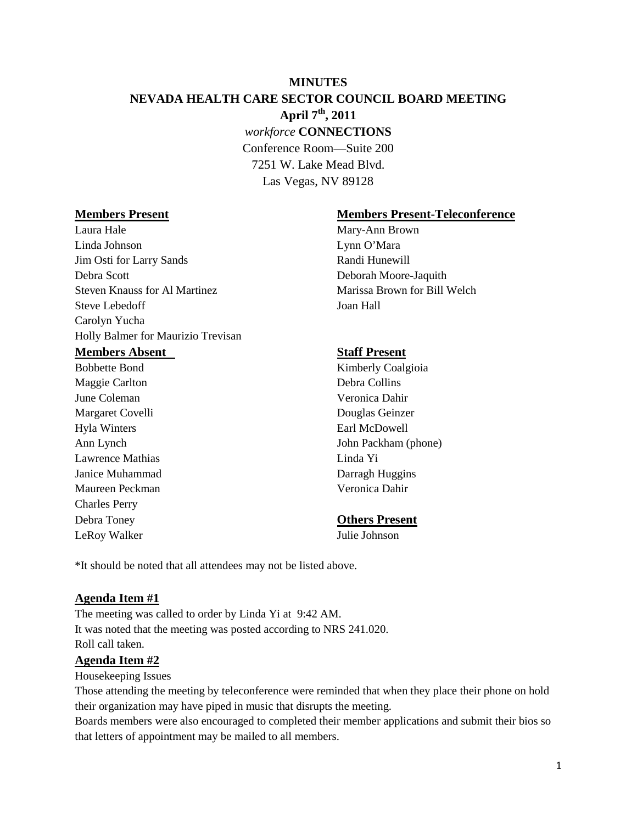# **MINUTES NEVADA HEALTH CARE SECTOR COUNCIL BOARD MEETING April 7th, 2011** *workforce* **CONNECTIONS** Conference Room—Suite 200 7251 W. Lake Mead Blvd.

Las Vegas, NV 89128

Laura Hale Mary-Ann Brown Linda Johnson Lynn O'Mara Jim Osti for Larry Sands Randi Hunewill Debra Scott Deborah Moore-Jaquith Steven Knauss for Al Martinez Marissa Brown for Bill Welch Steve Lebedoff Joan Hall Carolyn Yucha Holly Balmer for Maurizio Trevisan **Members Absent Staff Present** Bobbette Bond Kimberly Coalgioia

Maggie Carlton Debra Collins June Coleman Veronica Dahir Margaret Covelli Douglas Geinzer Hyla Winters Earl McDowell Lawrence Mathias Linda Yi Janice Muhammad Darragh Huggins Maureen Peckman Veronica Dahir Charles Perry Debra Toney **Others Present** LeRoy Walker Julie Johnson

## **Members Present Members Present-Teleconference**

Ann Lynch John Packham (phone)

\*It should be noted that all attendees may not be listed above.

## **Agenda Item #1**

The meeting was called to order by Linda Yi at 9:42 AM. It was noted that the meeting was posted according to NRS 241.020. Roll call taken.

## **Agenda Item #2**

Housekeeping Issues

Those attending the meeting by teleconference were reminded that when they place their phone on hold their organization may have piped in music that disrupts the meeting.

Boards members were also encouraged to completed their member applications and submit their bios so that letters of appointment may be mailed to all members.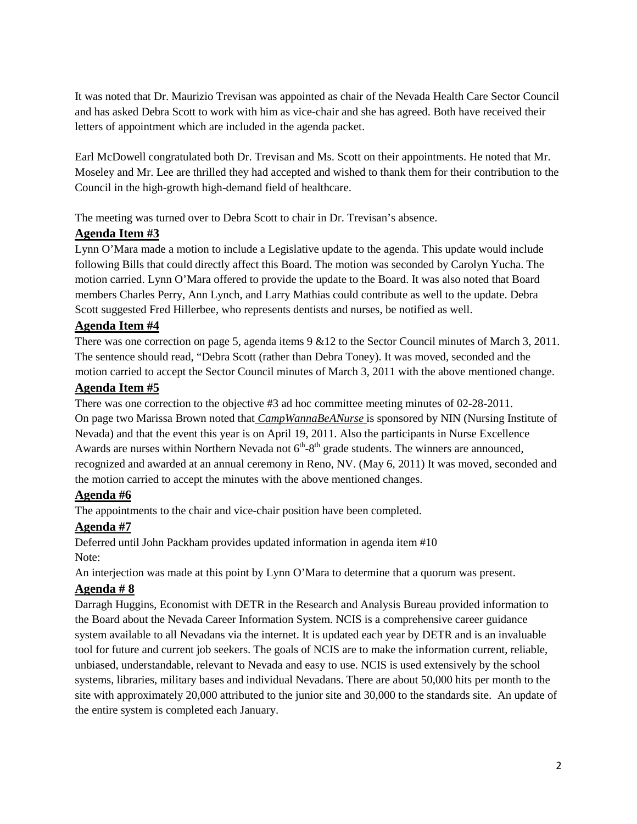It was noted that Dr. Maurizio Trevisan was appointed as chair of the Nevada Health Care Sector Council and has asked Debra Scott to work with him as vice-chair and she has agreed. Both have received their letters of appointment which are included in the agenda packet.

Earl McDowell congratulated both Dr. Trevisan and Ms. Scott on their appointments. He noted that Mr. Moseley and Mr. Lee are thrilled they had accepted and wished to thank them for their contribution to the Council in the high-growth high-demand field of healthcare.

The meeting was turned over to Debra Scott to chair in Dr. Trevisan's absence.

# **Agenda Item #3**

Lynn O'Mara made a motion to include a Legislative update to the agenda. This update would include following Bills that could directly affect this Board. The motion was seconded by Carolyn Yucha. The motion carried. Lynn O'Mara offered to provide the update to the Board. It was also noted that Board members Charles Perry, Ann Lynch, and Larry Mathias could contribute as well to the update. Debra Scott suggested Fred Hillerbee, who represents dentists and nurses, be notified as well.

# **Agenda Item #4**

There was one correction on page 5, agenda items 9 &12 to the Sector Council minutes of March 3, 2011. The sentence should read, "Debra Scott (rather than Debra Toney). It was moved, seconded and the motion carried to accept the Sector Council minutes of March 3, 2011 with the above mentioned change.

# **Agenda Item #5**

There was one correction to the objective #3 ad hoc committee meeting minutes of 02-28-2011. On page two Marissa Brown noted that *CampWannaBeANurse* is sponsored by NIN (Nursing Institute of Nevada) and that the event this year is on April 19, 2011. Also the participants in Nurse Excellence Awards are nurses within Northern Nevada not  $6<sup>th</sup>-8<sup>th</sup>$  grade students. The winners are announced, recognized and awarded at an annual ceremony in Reno, NV. (May 6, 2011) It was moved, seconded and the motion carried to accept the minutes with the above mentioned changes.

# **Agenda #6**

The appointments to the chair and vice-chair position have been completed.

# **Agenda #7**

Deferred until John Packham provides updated information in agenda item #10 Note:

An interjection was made at this point by Lynn O'Mara to determine that a quorum was present.

# **Agenda # 8**

Darragh Huggins, Economist with DETR in the Research and Analysis Bureau provided information to the Board about the Nevada Career Information System. NCIS is a comprehensive career guidance system available to all Nevadans via the internet. It is updated each year by DETR and is an invaluable tool for future and current job seekers. The goals of NCIS are to make the information current, reliable, unbiased, understandable, relevant to Nevada and easy to use. NCIS is used extensively by the school systems, libraries, military bases and individual Nevadans. There are about 50,000 hits per month to the site with approximately 20,000 attributed to the junior site and 30,000 to the standards site. An update of the entire system is completed each January.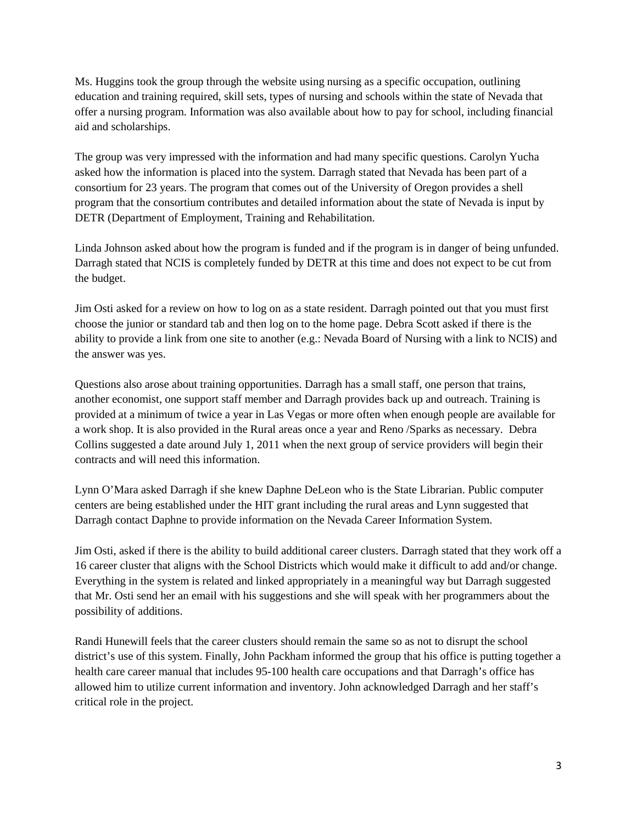Ms. Huggins took the group through the website using nursing as a specific occupation, outlining education and training required, skill sets, types of nursing and schools within the state of Nevada that offer a nursing program. Information was also available about how to pay for school, including financial aid and scholarships.

The group was very impressed with the information and had many specific questions. Carolyn Yucha asked how the information is placed into the system. Darragh stated that Nevada has been part of a consortium for 23 years. The program that comes out of the University of Oregon provides a shell program that the consortium contributes and detailed information about the state of Nevada is input by DETR (Department of Employment, Training and Rehabilitation.

Linda Johnson asked about how the program is funded and if the program is in danger of being unfunded. Darragh stated that NCIS is completely funded by DETR at this time and does not expect to be cut from the budget.

Jim Osti asked for a review on how to log on as a state resident. Darragh pointed out that you must first choose the junior or standard tab and then log on to the home page. Debra Scott asked if there is the ability to provide a link from one site to another (e.g.: Nevada Board of Nursing with a link to NCIS) and the answer was yes.

Questions also arose about training opportunities. Darragh has a small staff, one person that trains, another economist, one support staff member and Darragh provides back up and outreach. Training is provided at a minimum of twice a year in Las Vegas or more often when enough people are available for a work shop. It is also provided in the Rural areas once a year and Reno /Sparks as necessary. Debra Collins suggested a date around July 1, 2011 when the next group of service providers will begin their contracts and will need this information.

Lynn O'Mara asked Darragh if she knew Daphne DeLeon who is the State Librarian. Public computer centers are being established under the HIT grant including the rural areas and Lynn suggested that Darragh contact Daphne to provide information on the Nevada Career Information System.

Jim Osti, asked if there is the ability to build additional career clusters. Darragh stated that they work off a 16 career cluster that aligns with the School Districts which would make it difficult to add and/or change. Everything in the system is related and linked appropriately in a meaningful way but Darragh suggested that Mr. Osti send her an email with his suggestions and she will speak with her programmers about the possibility of additions.

Randi Hunewill feels that the career clusters should remain the same so as not to disrupt the school district's use of this system. Finally, John Packham informed the group that his office is putting together a health care career manual that includes 95-100 health care occupations and that Darragh's office has allowed him to utilize current information and inventory. John acknowledged Darragh and her staff's critical role in the project.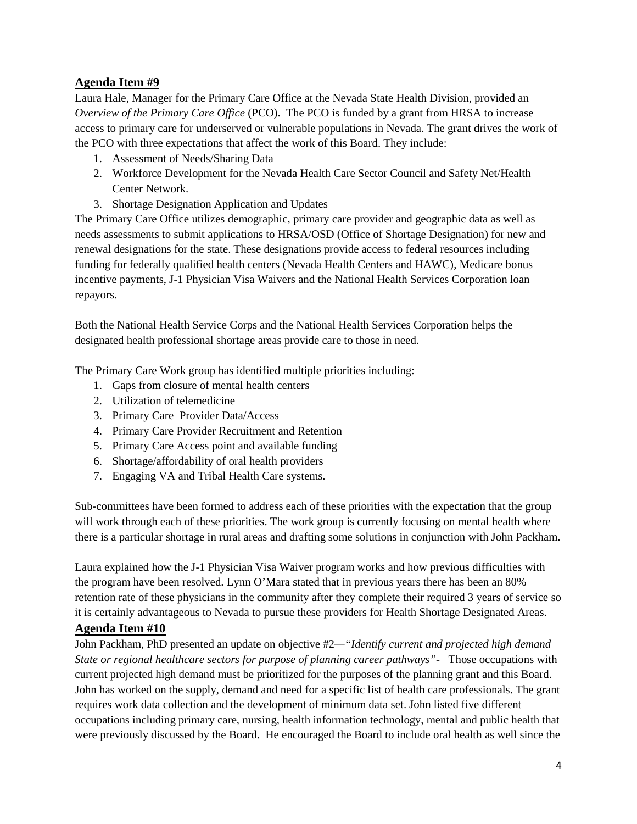# **Agenda Item #9**

Laura Hale, Manager for the Primary Care Office at the Nevada State Health Division, provided an *Overview of the Primary Care Office* (PCO). The PCO is funded by a grant from HRSA to increase access to primary care for underserved or vulnerable populations in Nevada. The grant drives the work of the PCO with three expectations that affect the work of this Board. They include:

- 1. Assessment of Needs/Sharing Data
- 2. Workforce Development for the Nevada Health Care Sector Council and Safety Net/Health Center Network.
- 3. Shortage Designation Application and Updates

The Primary Care Office utilizes demographic, primary care provider and geographic data as well as needs assessments to submit applications to HRSA/OSD (Office of Shortage Designation) for new and renewal designations for the state. These designations provide access to federal resources including funding for federally qualified health centers (Nevada Health Centers and HAWC), Medicare bonus incentive payments, J-1 Physician Visa Waivers and the National Health Services Corporation loan repayors.

Both the National Health Service Corps and the National Health Services Corporation helps the designated health professional shortage areas provide care to those in need.

The Primary Care Work group has identified multiple priorities including:

- 1. Gaps from closure of mental health centers
- 2. Utilization of telemedicine
- 3. Primary Care Provider Data/Access
- 4. Primary Care Provider Recruitment and Retention
- 5. Primary Care Access point and available funding
- 6. Shortage/affordability of oral health providers
- 7. Engaging VA and Tribal Health Care systems.

Sub-committees have been formed to address each of these priorities with the expectation that the group will work through each of these priorities. The work group is currently focusing on mental health where there is a particular shortage in rural areas and drafting some solutions in conjunction with John Packham.

Laura explained how the J-1 Physician Visa Waiver program works and how previous difficulties with the program have been resolved. Lynn O'Mara stated that in previous years there has been an 80% retention rate of these physicians in the community after they complete their required 3 years of service so it is certainly advantageous to Nevada to pursue these providers for Health Shortage Designated Areas.

# **Agenda Item #10**

John Packham, PhD presented an update on objective #2*—"Identify current and projected high demand State or regional healthcare sectors for purpose of planning career pathways"-* Those occupations with current projected high demand must be prioritized for the purposes of the planning grant and this Board. John has worked on the supply, demand and need for a specific list of health care professionals. The grant requires work data collection and the development of minimum data set. John listed five different occupations including primary care, nursing, health information technology, mental and public health that were previously discussed by the Board. He encouraged the Board to include oral health as well since the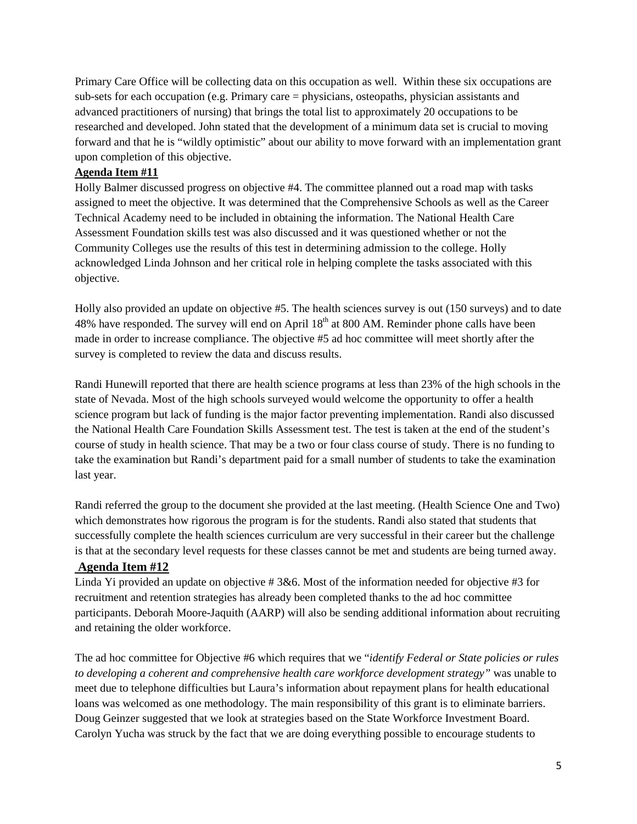Primary Care Office will be collecting data on this occupation as well. Within these six occupations are sub-sets for each occupation (e.g. Primary care = physicians, osteopaths, physician assistants and advanced practitioners of nursing) that brings the total list to approximately 20 occupations to be researched and developed. John stated that the development of a minimum data set is crucial to moving forward and that he is "wildly optimistic" about our ability to move forward with an implementation grant upon completion of this objective.

### **Agenda Item #11**

Holly Balmer discussed progress on objective #4. The committee planned out a road map with tasks assigned to meet the objective. It was determined that the Comprehensive Schools as well as the Career Technical Academy need to be included in obtaining the information. The National Health Care Assessment Foundation skills test was also discussed and it was questioned whether or not the Community Colleges use the results of this test in determining admission to the college. Holly acknowledged Linda Johnson and her critical role in helping complete the tasks associated with this objective.

Holly also provided an update on objective #5. The health sciences survey is out (150 surveys) and to date 48% have responded. The survey will end on April  $18<sup>th</sup>$  at 800 AM. Reminder phone calls have been made in order to increase compliance. The objective #5 ad hoc committee will meet shortly after the survey is completed to review the data and discuss results.

Randi Hunewill reported that there are health science programs at less than 23% of the high schools in the state of Nevada. Most of the high schools surveyed would welcome the opportunity to offer a health science program but lack of funding is the major factor preventing implementation. Randi also discussed the National Health Care Foundation Skills Assessment test. The test is taken at the end of the student's course of study in health science. That may be a two or four class course of study. There is no funding to take the examination but Randi's department paid for a small number of students to take the examination last year.

Randi referred the group to the document she provided at the last meeting. (Health Science One and Two) which demonstrates how rigorous the program is for the students. Randi also stated that students that successfully complete the health sciences curriculum are very successful in their career but the challenge is that at the secondary level requests for these classes cannot be met and students are being turned away.

## **Agenda Item #12**

Linda Yi provided an update on objective # 3&6. Most of the information needed for objective #3 for recruitment and retention strategies has already been completed thanks to the ad hoc committee participants. Deborah Moore-Jaquith (AARP) will also be sending additional information about recruiting and retaining the older workforce.

The ad hoc committee for Objective #6 which requires that we "*identify Federal or State policies or rules to developing a coherent and comprehensive health care workforce development strategy"* was unable to meet due to telephone difficulties but Laura's information about repayment plans for health educational loans was welcomed as one methodology. The main responsibility of this grant is to eliminate barriers. Doug Geinzer suggested that we look at strategies based on the State Workforce Investment Board. Carolyn Yucha was struck by the fact that we are doing everything possible to encourage students to